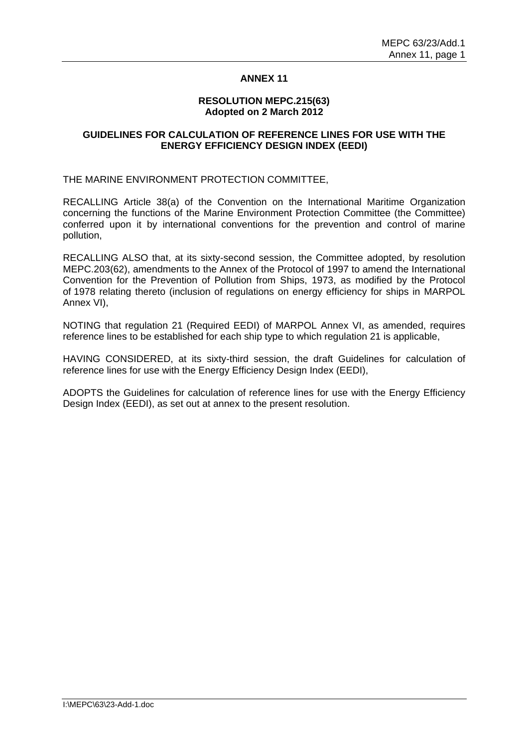## **ANNEX 11**

#### **RESOLUTION MEPC.215(63) Adopted on 2 March 2012**

## **GUIDELINES FOR CALCULATION OF REFERENCE LINES FOR USE WITH THE ENERGY EFFICIENCY DESIGN INDEX (EEDI)**

THE MARINE ENVIRONMENT PROTECTION COMMITTEE,

RECALLING Article 38(a) of the Convention on the International Maritime Organization concerning the functions of the Marine Environment Protection Committee (the Committee) conferred upon it by international conventions for the prevention and control of marine pollution,

RECALLING ALSO that, at its sixty-second session, the Committee adopted, by resolution MEPC.203(62), amendments to the Annex of the Protocol of 1997 to amend the International Convention for the Prevention of Pollution from Ships, 1973, as modified by the Protocol of 1978 relating thereto (inclusion of regulations on energy efficiency for ships in MARPOL Annex VI),

NOTING that regulation 21 (Required EEDI) of MARPOL Annex VI, as amended, requires reference lines to be established for each ship type to which regulation 21 is applicable,

HAVING CONSIDERED, at its sixty-third session, the draft Guidelines for calculation of reference lines for use with the Energy Efficiency Design Index (EEDI),

ADOPTS the Guidelines for calculation of reference lines for use with the Energy Efficiency Design Index (EEDI), as set out at annex to the present resolution.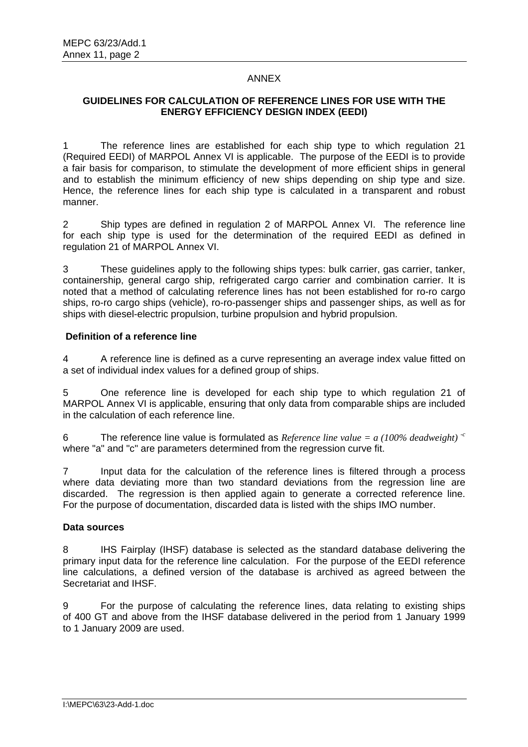## ANNEX

# **GUIDELINES FOR CALCULATION OF REFERENCE LINES FOR USE WITH THE ENERGY EFFICIENCY DESIGN INDEX (EEDI)**

1 The reference lines are established for each ship type to which regulation 21 (Required EEDI) of MARPOL Annex VI is applicable. The purpose of the EEDI is to provide a fair basis for comparison, to stimulate the development of more efficient ships in general and to establish the minimum efficiency of new ships depending on ship type and size. Hence, the reference lines for each ship type is calculated in a transparent and robust manner.

2 Ship types are defined in regulation 2 of MARPOL Annex VI. The reference line for each ship type is used for the determination of the required EEDI as defined in regulation 21 of MARPOL Annex VI.

3 These guidelines apply to the following ships types: bulk carrier, gas carrier, tanker, containership, general cargo ship, refrigerated cargo carrier and combination carrier. It is noted that a method of calculating reference lines has not been established for ro-ro cargo ships, ro-ro cargo ships (vehicle), ro-ro-passenger ships and passenger ships, as well as for ships with diesel-electric propulsion, turbine propulsion and hybrid propulsion.

## **Definition of a reference line**

4 A reference line is defined as a curve representing an average index value fitted on a set of individual index values for a defined group of ships.

5 One reference line is developed for each ship type to which regulation 21 of MARPOL Annex VI is applicable, ensuring that only data from comparable ships are included in the calculation of each reference line.

6 The reference line value is formulated as *Reference line value = a (100% deadweight) -c* where "a" and "c" are parameters determined from the regression curve fit.

7 Input data for the calculation of the reference lines is filtered through a process where data deviating more than two standard deviations from the regression line are discarded. The regression is then applied again to generate a corrected reference line. For the purpose of documentation, discarded data is listed with the ships IMO number.

#### **Data sources**

8 IHS Fairplay (IHSF) database is selected as the standard database delivering the primary input data for the reference line calculation. For the purpose of the EEDI reference line calculations, a defined version of the database is archived as agreed between the Secretariat and IHSF.

9 For the purpose of calculating the reference lines, data relating to existing ships of 400 GT and above from the IHSF database delivered in the period from 1 January 1999 to 1 January 2009 are used.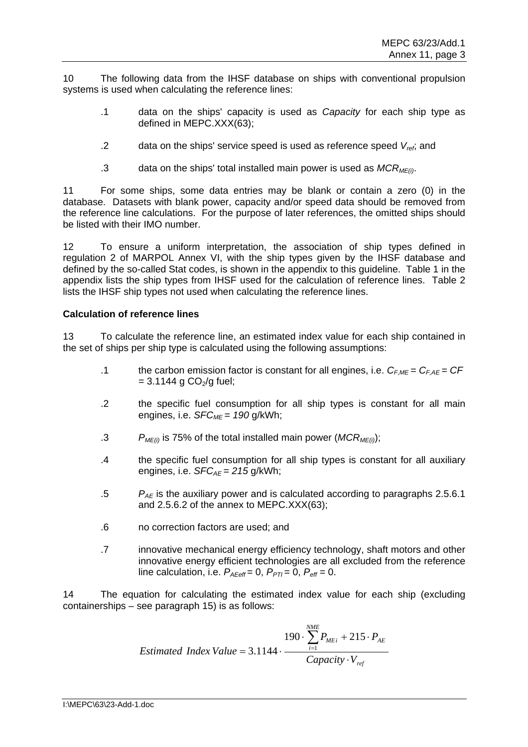10 The following data from the IHSF database on ships with conventional propulsion systems is used when calculating the reference lines:

- .1 data on the ships' capacity is used as *Capacity* for each ship type as defined in MEPC.XXX(63);
- .2 data on the ships' service speed is used as reference speed  $V_{ref}$ ; and
- .3 data on the ships' total installed main power is used as  $MCR_{ME(i)}$ .

11 For some ships, some data entries may be blank or contain a zero (0) in the database. Datasets with blank power, capacity and/or speed data should be removed from the reference line calculations. For the purpose of later references, the omitted ships should be listed with their IMO number.

12 To ensure a uniform interpretation, the association of ship types defined in regulation 2 of MARPOL Annex VI, with the ship types given by the IHSF database and defined by the so-called Stat codes, is shown in the appendix to this guideline. Table 1 in the appendix lists the ship types from IHSF used for the calculation of reference lines. Table 2 lists the IHSF ship types not used when calculating the reference lines.

## **Calculation of reference lines**

13 To calculate the reference line, an estimated index value for each ship contained in the set of ships per ship type is calculated using the following assumptions:

- .1 the carbon emission factor is constant for all engines, i.e.  $C_{F,ME} = C_{F,AE} = CF$  $= 3.1144$  g CO<sub>2</sub>/g fuel;
- .2 the specific fuel consumption for all ship types is constant for all main engines, i.e. *SFC<sub>ME</sub>* = 190 g/kWh;
- .3  $P_{ME(i)}$  is 75% of the total installed main power (*MCR<sub>ME(i)</sub>*);
- .4 the specific fuel consumption for all ship types is constant for all auxiliary engines, i.e.  $SFC_{AF} = 215$  g/kWh;
- .5 *PAE* is the auxiliary power and is calculated according to paragraphs 2.5.6.1 and 2.5.6.2 of the annex to MEPC.XXX(63);
- .6 no correction factors are used; and
- .7 innovative mechanical energy efficiency technology, shaft motors and other innovative energy efficient technologies are all excluded from the reference line calculation, i.e.  $P_{A\text{Eeff}} = 0$ ,  $P_{PTI} = 0$ ,  $P_{\text{eff}} = 0$ .

14 The equation for calculating the estimated index value for each ship (excluding containerships – see paragraph 15) is as follows:

$$
190 \cdot \sum_{i=1}^{NME} P_{MEi} + 215 \cdot P_{AE}
$$
  
Estimated Index Value = 3.1144 · 
$$
\frac{Capacity \cdot V_{ref}}{Capacity \cdot V_{ref}}
$$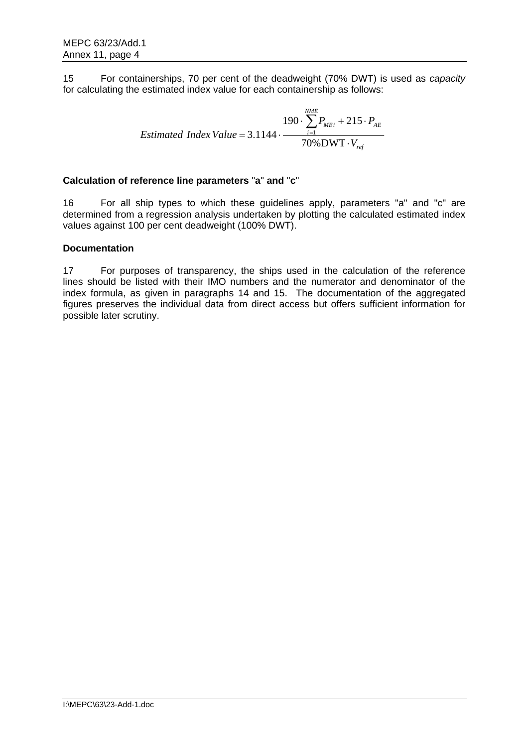15 For containerships, 70 per cent of the deadweight (70% DWT) is used as *capacity* for calculating the estimated index value for each containership as follows:

$$
190 \cdot \sum_{i=1}^{NME} P_{MEi} + 215 \cdot P_{AE}
$$
  
Estimated Index Value = 3.1144 · 
$$
\frac{70\% \text{DWT} \cdot V_{ref}}{70\% \text{DWT} \cdot V_{ref}}
$$

# **Calculation of reference line parameters** "**a**" **and** "**c**"

16 For all ship types to which these guidelines apply, parameters "a" and "c" are determined from a regression analysis undertaken by plotting the calculated estimated index values against 100 per cent deadweight (100% DWT).

## **Documentation**

17 For purposes of transparency, the ships used in the calculation of the reference lines should be listed with their IMO numbers and the numerator and denominator of the index formula, as given in paragraphs 14 and 15. The documentation of the aggregated figures preserves the individual data from direct access but offers sufficient information for possible later scrutiny.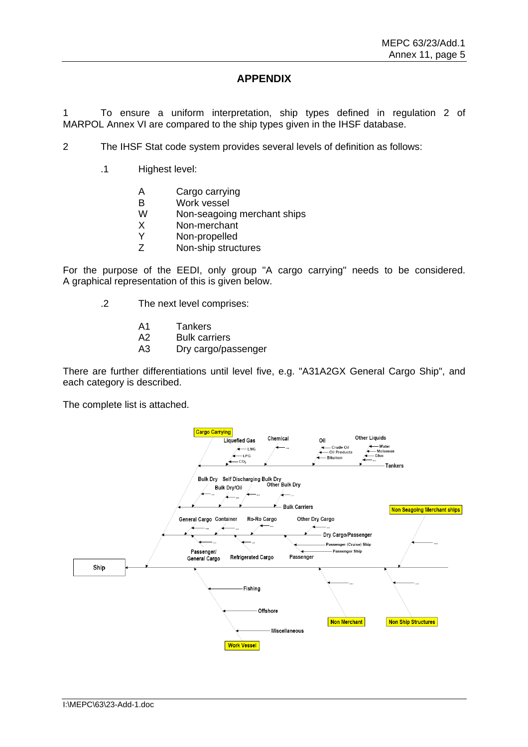# **APPENDIX**

1 To ensure a uniform interpretation, ship types defined in regulation 2 of MARPOL Annex VI are compared to the ship types given in the IHSF database.

- 2 The IHSF Stat code system provides several levels of definition as follows:
	- .1 Highest level:
		- A Cargo carrying
		- B Work vessel
		- W Non-seagoing merchant ships
		- X Non-merchant
		- Y Non-propelled
		- Z Non-ship structures

For the purpose of the EEDI, only group "A cargo carrying" needs to be considered. A graphical representation of this is given below.

- .2 The next level comprises:
	- A1 Tankers
	- A2 Bulk carriers
	- A3 Dry cargo/passenger

There are further differentiations until level five, e.g. "A31A2GX General Cargo Ship", and each category is described.

The complete list is attached.

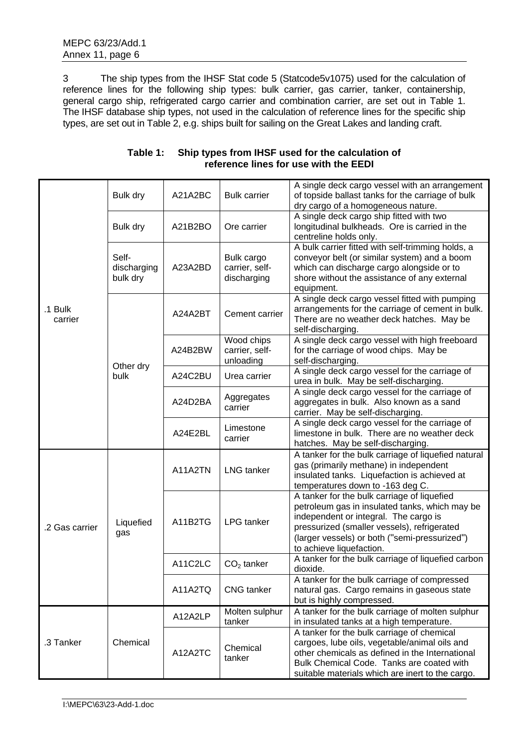3 The ship types from the IHSF Stat code 5 (Statcode5v1075) used for the calculation of reference lines for the following ship types: bulk carrier, gas carrier, tanker, containership, general cargo ship, refrigerated cargo carrier and combination carrier, are set out in Table 1. The IHSF database ship types, not used in the calculation of reference lines for the specific ship types, are set out in Table 2, e.g. ships built for sailing on the Great Lakes and landing craft.

| .1 Bulk<br>carrier | Bulk dry                         | A21A2BC                   | <b>Bulk carrier</b>                         | A single deck cargo vessel with an arrangement<br>of topside ballast tanks for the carriage of bulk<br>dry cargo of a homogeneous nature.                                                                                                                          |  |
|--------------------|----------------------------------|---------------------------|---------------------------------------------|--------------------------------------------------------------------------------------------------------------------------------------------------------------------------------------------------------------------------------------------------------------------|--|
|                    | Bulk dry                         | A21B2BO                   | Ore carrier                                 | A single deck cargo ship fitted with two<br>longitudinal bulkheads. Ore is carried in the<br>centreline holds only.                                                                                                                                                |  |
|                    | Self-<br>discharging<br>bulk dry | A23A2BD                   | Bulk cargo<br>carrier, self-<br>discharging | A bulk carrier fitted with self-trimming holds, a<br>conveyor belt (or similar system) and a boom<br>which can discharge cargo alongside or to<br>shore without the assistance of any external<br>equipment.                                                       |  |
|                    |                                  | Cement carrier<br>A24A2BT |                                             | A single deck cargo vessel fitted with pumping<br>arrangements for the carriage of cement in bulk.<br>There are no weather deck hatches. May be<br>self-discharging.                                                                                               |  |
|                    |                                  | A24B2BW                   | Wood chips<br>carrier, self-<br>unloading   | A single deck cargo vessel with high freeboard<br>for the carriage of wood chips. May be<br>self-discharging.                                                                                                                                                      |  |
|                    | Other dry<br>bulk                | A24C2BU                   | Urea carrier                                | A single deck cargo vessel for the carriage of<br>urea in bulk. May be self-discharging.                                                                                                                                                                           |  |
|                    |                                  | A24D2BA                   | Aggregates<br>carrier                       | A single deck cargo vessel for the carriage of<br>aggregates in bulk. Also known as a sand<br>carrier. May be self-discharging.                                                                                                                                    |  |
|                    |                                  | A24E2BL                   | Limestone<br>carrier                        | A single deck cargo vessel for the carriage of<br>limestone in bulk. There are no weather deck<br>hatches. May be self-discharging.                                                                                                                                |  |
| .2 Gas carrier     | Liquefied<br>gas                 | A11A2TN                   | <b>LNG</b> tanker                           | A tanker for the bulk carriage of liquefied natural<br>gas (primarily methane) in independent<br>insulated tanks. Liquefaction is achieved at<br>temperatures down to -163 deg C.                                                                                  |  |
|                    |                                  | A11B2TG                   | <b>LPG</b> tanker                           | A tanker for the bulk carriage of liquefied<br>petroleum gas in insulated tanks, which may be<br>independent or integral. The cargo is<br>pressurized (smaller vessels), refrigerated<br>(larger vessels) or both ("semi-pressurized")<br>to achieve liquefaction. |  |
|                    |                                  | A11C2LC                   | $CO2$ tanker                                | A tanker for the bulk carriage of liquefied carbon<br>dioxide.                                                                                                                                                                                                     |  |
|                    |                                  | A11A2TQ                   | <b>CNG</b> tanker                           | A tanker for the bulk carriage of compressed<br>natural gas. Cargo remains in gaseous state<br>but is highly compressed.                                                                                                                                           |  |
| .3 Tanker          | Chemical                         | A12A2LP                   | Molten sulphur<br>tanker                    | A tanker for the bulk carriage of molten sulphur<br>in insulated tanks at a high temperature.                                                                                                                                                                      |  |
|                    |                                  | A12A2TC                   | Chemical<br>tanker                          | A tanker for the bulk carriage of chemical<br>cargoes, lube oils, vegetable/animal oils and<br>other chemicals as defined in the International<br>Bulk Chemical Code. Tanks are coated with<br>suitable materials which are inert to the cargo.                    |  |

### **Table 1: Ship types from IHSF used for the calculation of reference lines for use with the EEDI**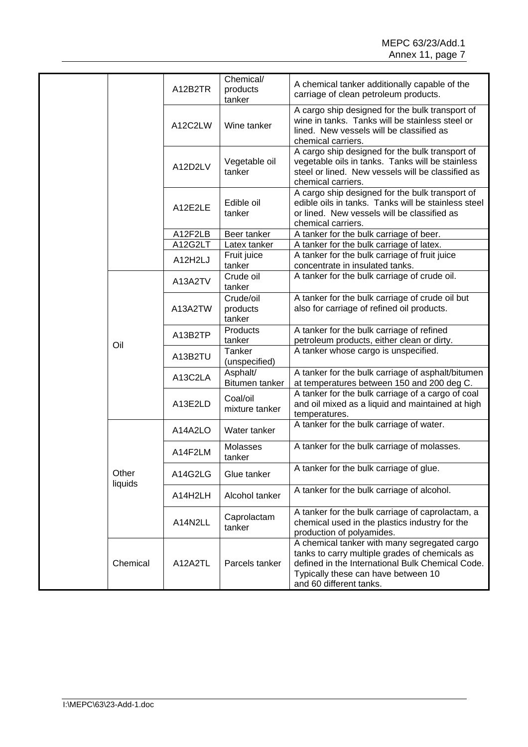|  |                  | A12B2TR | Chemical/<br>products<br>tanker | A chemical tanker additionally capable of the<br>carriage of clean petroleum products.                                                                                                                               |
|--|------------------|---------|---------------------------------|----------------------------------------------------------------------------------------------------------------------------------------------------------------------------------------------------------------------|
|  |                  | A12C2LW | Wine tanker                     | A cargo ship designed for the bulk transport of<br>wine in tanks. Tanks will be stainless steel or<br>lined. New vessels will be classified as<br>chemical carriers.                                                 |
|  |                  | A12D2LV | Vegetable oil<br>tanker         | A cargo ship designed for the bulk transport of<br>vegetable oils in tanks. Tanks will be stainless<br>steel or lined. New vessels will be classified as<br>chemical carriers.                                       |
|  |                  | A12E2LE | Edible oil<br>tanker            | A cargo ship designed for the bulk transport of<br>edible oils in tanks. Tanks will be stainless steel<br>or lined. New vessels will be classified as<br>chemical carriers.                                          |
|  |                  | A12F2LB | Beer tanker                     | A tanker for the bulk carriage of beer.                                                                                                                                                                              |
|  |                  | A12G2LT | Latex tanker                    | A tanker for the bulk carriage of latex.                                                                                                                                                                             |
|  |                  | A12H2LJ | Fruit juice<br>tanker           | A tanker for the bulk carriage of fruit juice<br>concentrate in insulated tanks.                                                                                                                                     |
|  |                  | A13A2TV | Crude oil<br>tanker             | A tanker for the bulk carriage of crude oil.                                                                                                                                                                         |
|  | Oil              | A13A2TW | Crude/oil<br>products<br>tanker | A tanker for the bulk carriage of crude oil but<br>also for carriage of refined oil products.                                                                                                                        |
|  |                  | A13B2TP | Products<br>tanker              | A tanker for the bulk carriage of refined<br>petroleum products, either clean or dirty.                                                                                                                              |
|  |                  | A13B2TU | Tanker<br>(unspecified)         | A tanker whose cargo is unspecified.                                                                                                                                                                                 |
|  |                  | A13C2LA | Asphalt/<br>Bitumen tanker      | A tanker for the bulk carriage of asphalt/bitumen<br>at temperatures between 150 and 200 deg C.                                                                                                                      |
|  |                  | A13E2LD | Coal/oil<br>mixture tanker      | A tanker for the bulk carriage of a cargo of coal<br>and oil mixed as a liquid and maintained at high<br>temperatures.                                                                                               |
|  | Other<br>liquids | A14A2LO | Water tanker                    | A tanker for the bulk carriage of water.                                                                                                                                                                             |
|  |                  | A14F2LM | Molasses<br>tanker              | A tanker for the bulk carriage of molasses.                                                                                                                                                                          |
|  |                  | A14G2LG | Glue tanker                     | A tanker for the bulk carriage of glue.                                                                                                                                                                              |
|  |                  | A14H2LH | Alcohol tanker                  | A tanker for the bulk carriage of alcohol.                                                                                                                                                                           |
|  |                  | A14N2LL | Caprolactam<br>tanker           | A tanker for the bulk carriage of caprolactam, a<br>chemical used in the plastics industry for the<br>production of polyamides.                                                                                      |
|  | Chemical         | A12A2TL | Parcels tanker                  | A chemical tanker with many segregated cargo<br>tanks to carry multiple grades of chemicals as<br>defined in the International Bulk Chemical Code.<br>Typically these can have between 10<br>and 60 different tanks. |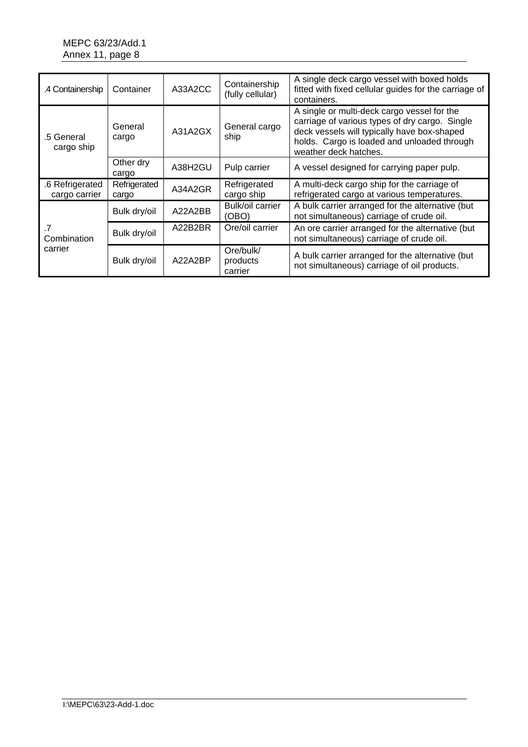# MEPC 63/23/Add.1 Annex 11, page 8

| .4 Containership                 | Container             | A33A2CC | Containership<br>(fully cellular) | A single deck cargo vessel with boxed holds<br>fitted with fixed cellular guides for the carriage of<br>containers.                                                                                                  |  |
|----------------------------------|-----------------------|---------|-----------------------------------|----------------------------------------------------------------------------------------------------------------------------------------------------------------------------------------------------------------------|--|
| .5 General<br>cargo ship         | General<br>cargo      | A31A2GX | General cargo<br>ship             | A single or multi-deck cargo vessel for the<br>carriage of various types of dry cargo. Single<br>deck vessels will typically have box-shaped<br>holds. Cargo is loaded and unloaded through<br>weather deck hatches. |  |
|                                  | Other dry<br>cargo    | A38H2GU | Pulp carrier                      | A vessel designed for carrying paper pulp.                                                                                                                                                                           |  |
| .6 Refrigerated<br>cargo carrier | Refrigerated<br>cargo | A34A2GR | Refrigerated<br>cargo ship        | A multi-deck cargo ship for the carriage of<br>refrigerated cargo at various temperatures.                                                                                                                           |  |
|                                  | Bulk dry/oil          | A22A2BB | Bulk/oil carrier<br>(OBO)         | A bulk carrier arranged for the alternative (but<br>not simultaneous) carriage of crude oil.                                                                                                                         |  |
| Combination<br>carrier           | Bulk dry/oil          | A22B2BR | Ore/oil carrier                   | An ore carrier arranged for the alternative (but<br>not simultaneous) carriage of crude oil.                                                                                                                         |  |
|                                  | Bulk dry/oil          | A22A2BP | Ore/bulk/<br>products<br>carrier  | A bulk carrier arranged for the alternative (but<br>not simultaneous) carriage of oil products.                                                                                                                      |  |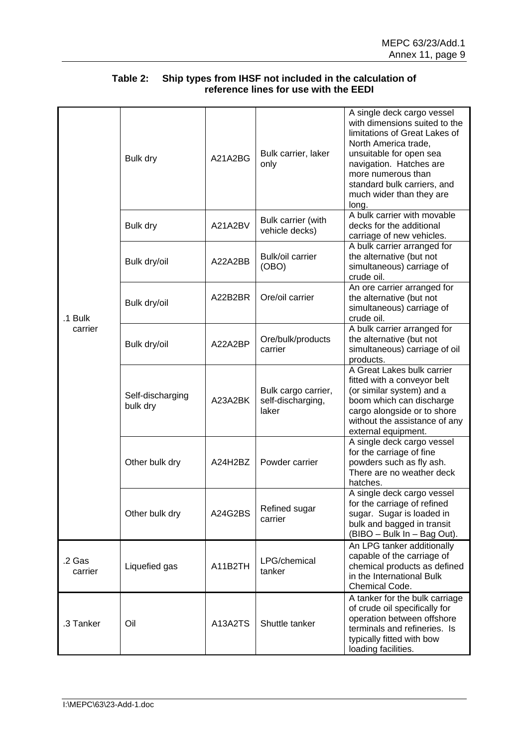|                    | Bulk dry                     | A21A2BG | Bulk carrier, laker<br>only                       | A single deck cargo vessel<br>with dimensions suited to the<br>limitations of Great Lakes of<br>North America trade,<br>unsuitable for open sea<br>navigation. Hatches are<br>more numerous than<br>standard bulk carriers, and<br>much wider than they are<br>long. |
|--------------------|------------------------------|---------|---------------------------------------------------|----------------------------------------------------------------------------------------------------------------------------------------------------------------------------------------------------------------------------------------------------------------------|
|                    | Bulk dry                     | A21A2BV | <b>Bulk carrier (with</b><br>vehicle decks)       | A bulk carrier with movable<br>decks for the additional<br>carriage of new vehicles.                                                                                                                                                                                 |
| .1 Bulk<br>carrier | Bulk dry/oil                 | A22A2BB | Bulk/oil carrier<br>(OBO)                         | A bulk carrier arranged for<br>the alternative (but not<br>simultaneous) carriage of<br>crude oil.                                                                                                                                                                   |
|                    | Bulk dry/oil                 | A22B2BR | Ore/oil carrier                                   | An ore carrier arranged for<br>the alternative (but not<br>simultaneous) carriage of<br>crude oil.                                                                                                                                                                   |
|                    | Bulk dry/oil                 | A22A2BP | Ore/bulk/products<br>carrier                      | A bulk carrier arranged for<br>the alternative (but not<br>simultaneous) carriage of oil<br>products.                                                                                                                                                                |
|                    | Self-discharging<br>bulk dry | A23A2BK | Bulk cargo carrier,<br>self-discharging,<br>laker | A Great Lakes bulk carrier<br>fitted with a conveyor belt<br>(or similar system) and a<br>boom which can discharge<br>cargo alongside or to shore<br>without the assistance of any<br>external equipment.                                                            |
|                    | Other bulk dry               | A24H2BZ | Powder carrier                                    | A single deck cargo vessel<br>for the carriage of fine<br>powders such as fly ash.<br>There are no weather deck<br>hatches.                                                                                                                                          |
|                    | Other bulk dry               | A24G2BS | Refined sugar<br>carrier                          | A single deck cargo vessel<br>for the carriage of refined<br>sugar. Sugar is loaded in<br>bulk and bagged in transit<br>(BIBO - Bulk In - Bag Out).                                                                                                                  |
| .2 Gas<br>carrier  | Liquefied gas                | A11B2TH | LPG/chemical<br>tanker                            | An LPG tanker additionally<br>capable of the carriage of<br>chemical products as defined<br>in the International Bulk<br>Chemical Code.                                                                                                                              |
| .3 Tanker          | Oil                          | A13A2TS | Shuttle tanker                                    | A tanker for the bulk carriage<br>of crude oil specifically for<br>operation between offshore<br>terminals and refineries. Is<br>typically fitted with bow<br>loading facilities.                                                                                    |

# **Table 2: Ship types from IHSF not included in the calculation of reference lines for use with the EEDI**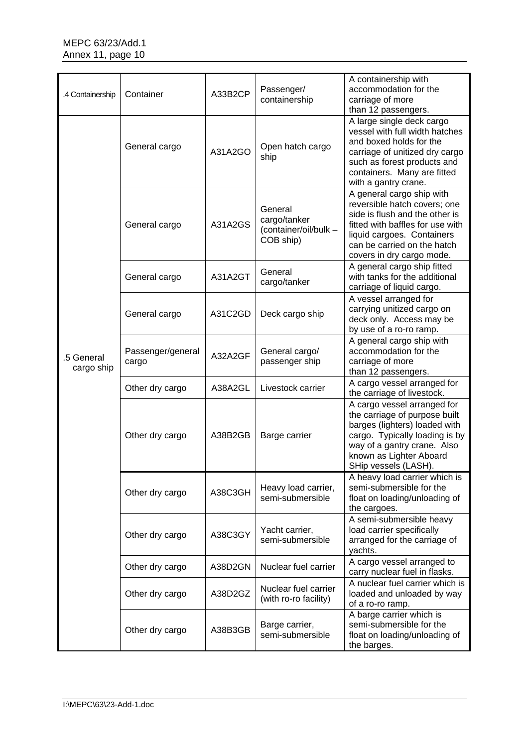| .4 Containership         | Container                  | A33B2CP | Passenger/<br>containership                                   | A containership with<br>accommodation for the<br>carriage of more<br>than 12 passengers.                                                                                                                                  |
|--------------------------|----------------------------|---------|---------------------------------------------------------------|---------------------------------------------------------------------------------------------------------------------------------------------------------------------------------------------------------------------------|
| .5 General<br>cargo ship | General cargo              | A31A2GO | Open hatch cargo<br>ship                                      | A large single deck cargo<br>vessel with full width hatches<br>and boxed holds for the<br>carriage of unitized dry cargo<br>such as forest products and<br>containers. Many are fitted<br>with a gantry crane.            |
|                          | General cargo              | A31A2GS | General<br>cargo/tanker<br>(container/oil/bulk -<br>COB ship) | A general cargo ship with<br>reversible hatch covers; one<br>side is flush and the other is<br>fitted with baffles for use with<br>liquid cargoes. Containers<br>can be carried on the hatch<br>covers in dry cargo mode. |
|                          | General cargo              | A31A2GT | General<br>cargo/tanker                                       | A general cargo ship fitted<br>with tanks for the additional<br>carriage of liquid cargo.                                                                                                                                 |
|                          | General cargo              | A31C2GD | Deck cargo ship                                               | A vessel arranged for<br>carrying unitized cargo on<br>deck only. Access may be<br>by use of a ro-ro ramp.                                                                                                                |
|                          | Passenger/general<br>cargo | A32A2GF | General cargo/<br>passenger ship                              | A general cargo ship with<br>accommodation for the<br>carriage of more<br>than 12 passengers.                                                                                                                             |
|                          | Other dry cargo            | A38A2GL | Livestock carrier                                             | A cargo vessel arranged for<br>the carriage of livestock.                                                                                                                                                                 |
|                          | Other dry cargo            | A38B2GB | Barge carrier                                                 | A cargo vessel arranged for<br>the carriage of purpose built<br>barges (lighters) loaded with<br>cargo. Typically loading is by<br>way of a gantry crane. Also<br>known as Lighter Aboard<br>SHip vessels (LASH).         |
|                          | Other dry cargo            | A38C3GH | Heavy load carrier,<br>semi-submersible                       | A heavy load carrier which is<br>semi-submersible for the<br>float on loading/unloading of<br>the cargoes.                                                                                                                |
|                          | Other dry cargo            | A38C3GY | Yacht carrier,<br>semi-submersible                            | A semi-submersible heavy<br>load carrier specifically<br>arranged for the carriage of<br>yachts.                                                                                                                          |
|                          | Other dry cargo            | A38D2GN | Nuclear fuel carrier                                          | A cargo vessel arranged to<br>carry nuclear fuel in flasks.                                                                                                                                                               |
|                          | Other dry cargo            | A38D2GZ | Nuclear fuel carrier<br>(with ro-ro facility)                 | A nuclear fuel carrier which is<br>loaded and unloaded by way<br>of a ro-ro ramp.                                                                                                                                         |
|                          | Other dry cargo            | A38B3GB | Barge carrier,<br>semi-submersible                            | A barge carrier which is<br>semi-submersible for the<br>float on loading/unloading of<br>the barges.                                                                                                                      |